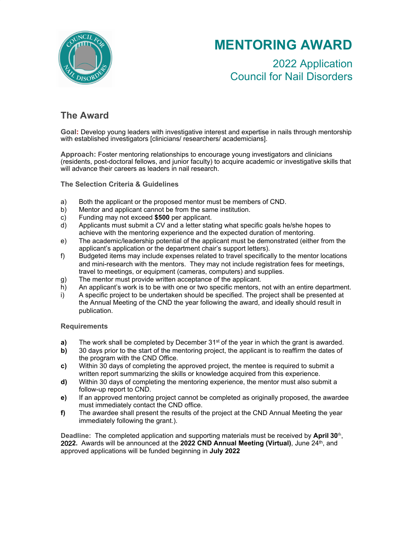

# **MENTORING AWARD**

2022 Application Council for Nail Disorders

# **The Award**

**Goal:** Develop young leaders with investigative interest and expertise in nails through mentorship with established investigators [clinicians/ researchers/ academicians].

**Approach:** Foster mentoring relationships to encourage young investigators and clinicians (residents, post-doctoral fellows, and junior faculty) to acquire academic or investigative skills that will advance their careers as leaders in nail research.

**The Selection Criteria & Guidelines**

- a) Both the applicant or the proposed mentor must be members of CND.
- b) Mentor and applicant cannot be from the same institution.
- c) Funding may not exceed **\$500** per applicant.
- d) Applicants must submit a CV and a letter stating what specific goals he/she hopes to achieve with the mentoring experience and the expected duration of mentoring.
- e) The academic/leadership potential of the applicant must be demonstrated (either from the applicant's application or the department chair's support letters).
- f) Budgeted items may include expenses related to travel specifically to the mentor locations and mini-research with the mentors. They may not include registration fees for meetings, travel to meetings, or equipment (cameras, computers) and supplies.
- g) The mentor must provide written acceptance of the applicant.
- h) An applicant's work is to be with one or two specific mentors, not with an entire department.
- i) A specific project to be undertaken should be specified. The project shall be presented at the Annual Meeting of the CND the year following the award, and ideally should result in publication.

### **Requirements**

- **a)** The work shall be completed by December 31<sup>st</sup> of the year in which the grant is awarded.
- **b)** 30 days prior to the start of the mentoring project, the applicant is to reaffirm the dates of the program with the CND Office.
- **c)** Within 30 days of completing the approved project, the mentee is required to submit a written report summarizing the skills or knowledge acquired from this experience.
- **d)** Within 30 days of completing the mentoring experience, the mentor must also submit a follow-up report to CND.
- **e)** If an approved mentoring project cannot be completed as originally proposed, the awardee must immediately contact the CND office.
- **f)** The awardee shall present the results of the project at the CND Annual Meeting the year immediately following the grant.).

Deadline: The completed application and supporting materials must be received by April 30<sup>th</sup>, 202**2.** Awards will be announced at the **2022 CND Annual Meeting (Virtual)**, June 24th , and approved applications will be funded beginning in **July 2022***.*